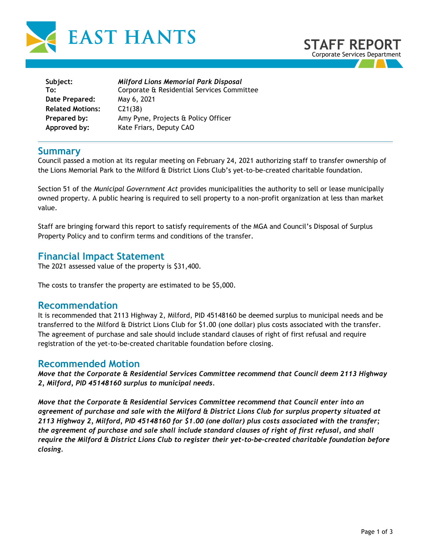



| Subject:                | <b>Milford Lions Memorial Park Disposal</b> |
|-------------------------|---------------------------------------------|
| To:                     | Corporate & Residential Services Committee  |
| Date Prepared:          | May 6, 2021                                 |
| <b>Related Motions:</b> | C21(38)                                     |
| Prepared by:            | Amy Pyne, Projects & Policy Officer         |
| Approved by:            | Kate Friars, Deputy CAO                     |

### **Summary**

Council passed a motion at its regular meeting on February 24, 2021 authorizing staff to transfer ownership of the Lions Memorial Park to the Milford & District Lions Club's yet-to-be-created charitable foundation.

Section 51 of the *Municipal Government Act* provides municipalities the authority to sell or lease municipally owned property. A public hearing is required to sell property to a non-profit organization at less than market value.

Staff are bringing forward this report to satisfy requirements of the MGA and Council's Disposal of Surplus Property Policy and to confirm terms and conditions of the transfer.

## **Financial Impact Statement**

The 2021 assessed value of the property is \$31,400.

The costs to transfer the property are estimated to be \$5,000.

### **Recommendation**

It is recommended that 2113 Highway 2, Milford, PID 45148160 be deemed surplus to municipal needs and be transferred to the Milford & District Lions Club for \$1.00 (one dollar) plus costs associated with the transfer. The agreement of purchase and sale should include standard clauses of right of first refusal and require registration of the yet-to-be-created charitable foundation before closing.

### **Recommended Motion**

*Move that the Corporate & Residential Services Committee recommend that Council deem 2113 Highway 2, Milford, PID 45148160 surplus to municipal needs.* 

*Move that the Corporate & Residential Services Committee recommend that Council enter into an agreement of purchase and sale with the Milford & District Lions Club for surplus property situated at 2113 Highway 2, Milford, PID 45148160 for \$1.00 (one dollar) plus costs associated with the transfer; the agreement of purchase and sale shall include standard clauses of right of first refusal, and shall require the Milford & District Lions Club to register their yet-to-be-created charitable foundation before closing.*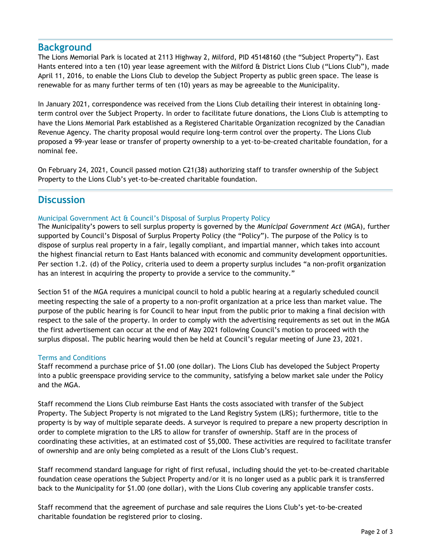## **Background**

The Lions Memorial Park is located at 2113 Highway 2, Milford, PID 45148160 (the "Subject Property"). East Hants entered into a ten (10) year lease agreement with the Milford & District Lions Club ("Lions Club"), made April 11, 2016, to enable the Lions Club to develop the Subject Property as public green space. The lease is renewable for as many further terms of ten (10) years as may be agreeable to the Municipality.

In January 2021, correspondence was received from the Lions Club detailing their interest in obtaining longterm control over the Subject Property. In order to facilitate future donations, the Lions Club is attempting to have the Lions Memorial Park established as a Registered Charitable Organization recognized by the Canadian Revenue Agency. The charity proposal would require long-term control over the property. The Lions Club proposed a 99-year lease or transfer of property ownership to a yet-to-be-created charitable foundation, for a nominal fee.

On February 24, 2021, Council passed motion C21(38) authorizing staff to transfer ownership of the Subject Property to the Lions Club's yet-to-be-created charitable foundation.

# **Discussion**

#### Municipal Government Act & Council's Disposal of Surplus Property Policy

The Municipality's powers to sell surplus property is governed by the *Municipal Government Act* (MGA), further supported by Council's Disposal of Surplus Property Policy (the "Policy"). The purpose of the Policy is to dispose of surplus real property in a fair, legally compliant, and impartial manner, which takes into account the highest financial return to East Hants balanced with economic and community development opportunities. Per section 1.2. (d) of the Policy, criteria used to deem a property surplus includes "a non-profit organization has an interest in acquiring the property to provide a service to the community."

Section 51 of the MGA requires a municipal council to hold a public hearing at a regularly scheduled council meeting respecting the sale of a property to a non-profit organization at a price less than market value. The purpose of the public hearing is for Council to hear input from the public prior to making a final decision with respect to the sale of the property. In order to comply with the advertising requirements as set out in the MGA the first advertisement can occur at the end of May 2021 following Council's motion to proceed with the surplus disposal. The public hearing would then be held at Council's regular meeting of June 23, 2021.

#### Terms and Conditions

Staff recommend a purchase price of \$1.00 (one dollar). The Lions Club has developed the Subject Property into a public greenspace providing service to the community, satisfying a below market sale under the Policy and the MGA.

Staff recommend the Lions Club reimburse East Hants the costs associated with transfer of the Subject Property. The Subject Property is not migrated to the Land Registry System (LRS); furthermore, title to the property is by way of multiple separate deeds. A surveyor is required to prepare a new property description in order to complete migration to the LRS to allow for transfer of ownership. Staff are in the process of coordinating these activities, at an estimated cost of \$5,000. These activities are required to facilitate transfer of ownership and are only being completed as a result of the Lions Club's request.

Staff recommend standard language for right of first refusal, including should the yet-to-be-created charitable foundation cease operations the Subject Property and/or it is no longer used as a public park it is transferred back to the Municipality for \$1.00 (one dollar), with the Lions Club covering any applicable transfer costs.

Staff recommend that the agreement of purchase and sale requires the Lions Club's yet-to-be-created charitable foundation be registered prior to closing.